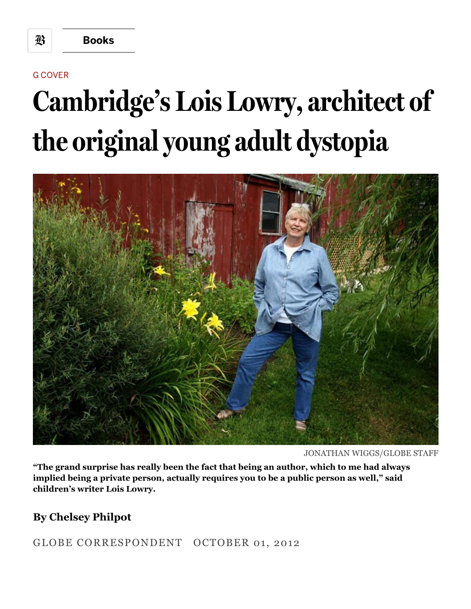G COVER

## **Cambridge's Lois Lowry, architect of the originalyoung adult dystopia**



JONATHAN WIGGS/GLOBE STAFF

**"The grand surprise has really been the fact that being an author, which to me had always implied being a private person, actually requires you to be a public person as well," said children's writer Lois Lowry.**

## **By Chelsey Philpot**

GLOBE CORRESPONDENT OCTOBER 01, 2012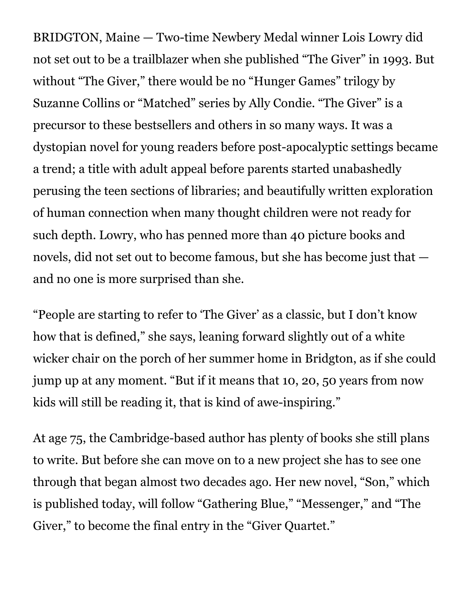BRIDGTON, Maine — Two-time Newbery Medal winner Lois Lowry did not set out to be a trailblazer when she published "The Giver" in 1993. But without "The Giver," there would be no "Hunger Games" trilogy by Suzanne Collins or "Matched" series by Ally Condie. "The Giver" is a precursor to these bestsellers and others in so many ways. It was a dystopian novel for young readers before post-apocalyptic settings became a trend; a title with adult appeal before parents started unabashedly perusing the teen sections of libraries; and beautifully written exploration of human connection when many thought children were not ready for such depth. Lowry, who has penned more than 40 picture books and novels, did not set out to become famous, but she has become just that and no one is more surprised than she.

"People are starting to refer to 'The Giver' as a classic, but I don't know how that is defined," she says, leaning forward slightly out of a white wicker chair on the porch of her summer home in Bridgton, as if she could jump up at any moment. "But if it means that 10, 20, 50 years from now kids will still be reading it, that is kind of awe-inspiring."

At age 75, the Cambridge-based author has plenty of books she still plans to write. But before she can move on to a new project she has to see one through that began almost two decades ago. Her new novel, "Son," which is published today, will follow "Gathering Blue," "Messenger," and "The Giver," to become the final entry in the "Giver Quartet."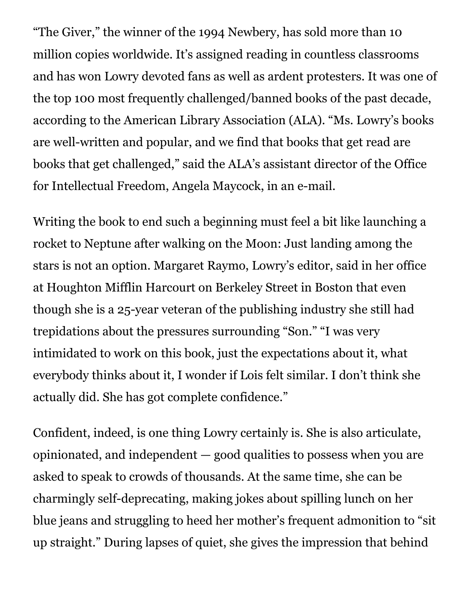"The Giver," the winner of the 1994 Newbery, has sold more than 10 million copies worldwide. It's assigned reading in countless classrooms and has won Lowry devoted fans as well as ardent protesters. It was one of the top 100 most frequently challenged/banned books of the past decade, according to the American Library Association (ALA). "Ms. Lowry's books are well-written and popular, and we find that books that get read are books that get challenged," said the ALA's assistant director of the Office for Intellectual Freedom, Angela Maycock, in an e-mail.

Writing the book to end such a beginning must feel a bit like launching a rocket to Neptune after walking on the Moon: Just landing among the stars is not an option. Margaret Raymo, Lowry's editor, said in her office at Houghton Mifflin Harcourt on Berkeley Street in Boston that even though she is a 25-year veteran of the publishing industry she still had trepidations about the pressures surrounding "Son." "I was very intimidated to work on this book, just the expectations about it, what everybody thinks about it, I wonder if Lois felt similar. I don't think she actually did. She has got complete confidence."

Confident, indeed, is one thing Lowry certainly is. She is also articulate, opinionated, and independent — good qualities to possess when you are asked to speak to crowds of thousands. At the same time, she can be charmingly self-deprecating, making jokes about spilling lunch on her blue jeans and struggling to heed her mother's frequent admonition to "sit up straight." During lapses of quiet, she gives the impression that behind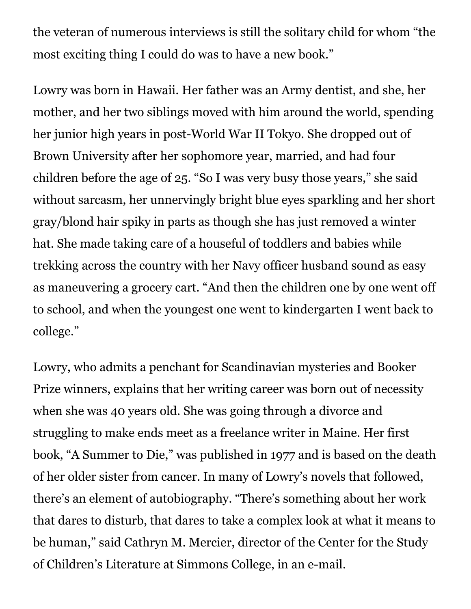the veteran of numerous interviews is still the solitary child for whom "the most exciting thing I could do was to have a new book."

Lowry was born in Hawaii. Her father was an Army dentist, and she, her mother, and her two siblings moved with him around the world, spending her junior high years in post-World War II Tokyo. She dropped out of Brown University after her sophomore year, married, and had four children before the age of 25. "So I was very busy those years," she said without sarcasm, her unnervingly bright blue eyes sparkling and her short gray/blond hair spiky in parts as though she has just removed a winter hat. She made taking care of a houseful of toddlers and babies while trekking across the country with her Navy officer husband sound as easy as maneuvering a grocery cart. "And then the children one by one went off to school, and when the youngest one went to kindergarten I went back to college."

Lowry, who admits a penchant for Scandinavian mysteries and Booker Prize winners, explains that her writing career was born out of necessity when she was 40 years old. She was going through a divorce and struggling to make ends meet as a freelance writer in Maine. Her first book, "A Summer to Die," was published in 1977 and is based on the death of her older sister from cancer. In many of Lowry's novels that followed, there's an element of autobiography. "There's something about her work that dares to disturb, that dares to take a complex look at what it means to be human," said Cathryn M. Mercier, director of the Center for the Study of Children's Literature at Simmons College, in an e-mail.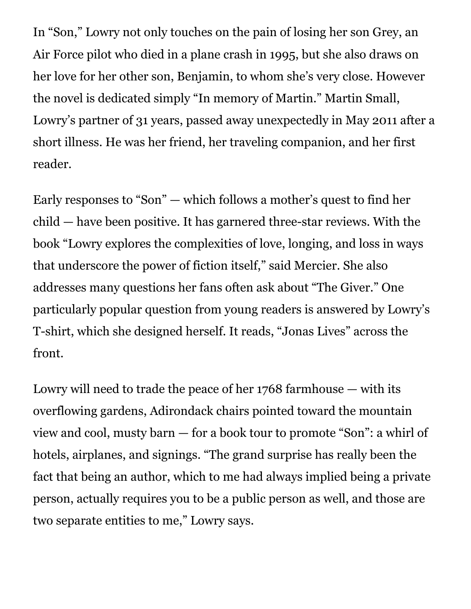In "Son," Lowry not only touches on the pain of losing her son Grey, an Air Force pilot who died in a plane crash in 1995, but she also draws on her love for her other son, Benjamin, to whom she's very close. However the novel is dedicated simply "In memory of Martin." Martin Small, Lowry's partner of 31 years, passed away unexpectedly in May 2011 after a short illness. He was her friend, her traveling companion, and her first reader.

Early responses to "Son" — which follows a mother's quest to find her child — have been positive. It has garnered three-star reviews. With the book "Lowry explores the complexities of love, longing, and loss in ways that underscore the power of fiction itself," said Mercier. She also addresses many questions her fans often ask about "The Giver." One particularly popular question from young readers is answered by Lowry's T-shirt, which she designed herself. It reads, "Jonas Lives" across the front.

Lowry will need to trade the peace of her 1768 farmhouse — with its overflowing gardens, Adirondack chairs pointed toward the mountain view and cool, musty barn — for a book tour to promote "Son": a whirl of hotels, airplanes, and signings. "The grand surprise has really been the fact that being an author, which to me had always implied being a private person, actually requires you to be a public person as well, and those are two separate entities to me," Lowry says.